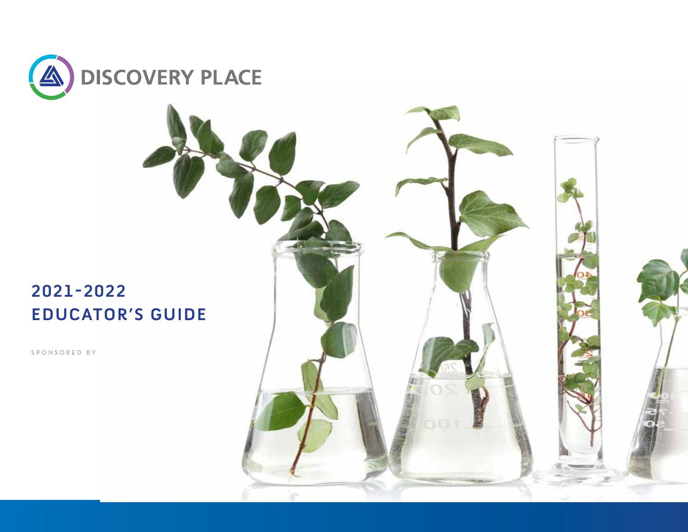

# **2021-2022 EDUCATOR'S GUIDE**

SPONSORED BY

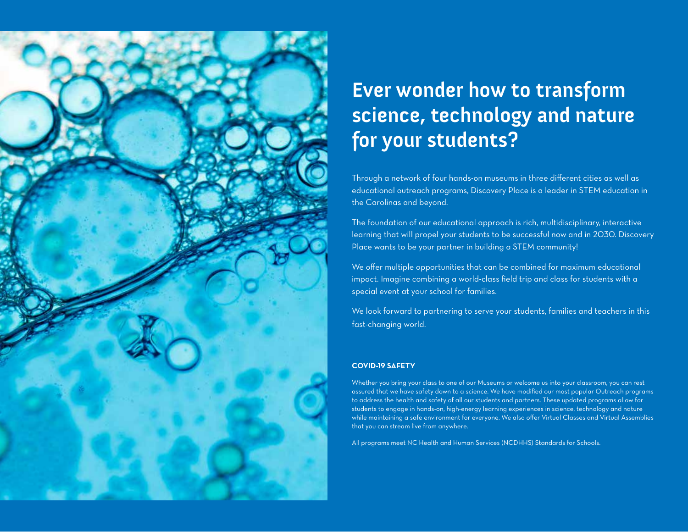

# **Ever wonder how to transform science, technology and nature for your students?**

Through a network of four hands-on museums in three different cities as well as educational outreach programs, Discovery Place is a leader in STEM education in the Carolinas and beyond.

The foundation of our educational approach is rich, multidisciplinary, interactive learning that will propel your students to be successful now and in 2030. Discovery Place wants to be your partner in building a STEM community!

We offer multiple opportunities that can be combined for maximum educational impact. Imagine combining a world-class field trip and class for students with a special event at your school for families.

We look forward to partnering to serve your students, families and teachers in this fast-changing world.

#### **COVID-19 SAFETY**

Whether you bring your class to one of our Museums or welcome us into your classroom, you can rest assured that we have safety down to a science. We have modified our most popular Outreach programs to address the health and safety of all our students and partners. These updated programs allow for students to engage in hands-on, high-energy learning experiences in science, technology and nature while maintaining a safe environment for everyone. We also offer Virtual Classes and Virtual Assemblies that you can stream live from anywhere.

All programs meet NC Health and Human Services (NCDHHS) Standards for Schools.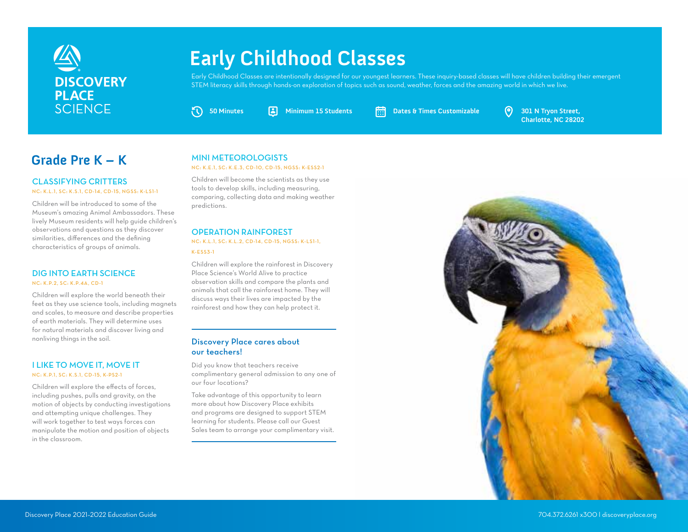

# **Early Childhood Classes**

Early Childhood Classes are intentionally designed for our youngest learners. These inquiry-based classes will have children building their emergent STEM literacy skills through hands-on exploration of topics such as sound, weather, forces and the amazing world in which we live.

**50 Minutes Minimum 15 Students Dates & Times Customizable 301 N Tryon Street,**

**Charlotte, NC 28202**

# **Grade Pre K – K**

#### CLASSIFYING CRITTERS NC: K.L.1, SC: K.S.1, CD-14, CD-15, NGSS: K-LS1-1

Children will be introduced to some of the Museum's amazing Animal Ambassadors. These lively Museum residents will help guide children's observations and questions as they discover similarities, differences and the defining characteristics of groups of animals.

#### DIG INTO EARTH SCIENCE NC: K.P.2, SC: K.P.4A, CD-1

Children will explore the world beneath their feet as they use science tools, including magnets and scales, to measure and describe properties of earth materials. They will determine uses for natural materials and discover living and nonliving things in the soil.

#### I LIKE TO MOVE IT, MOVE IT NC: K.P.1, SC: K.S.1, CD-15, K-PS2-1

Children will explore the effects of forces, including pushes, pulls and gravity, on the motion of objects by conducting investigations and attempting unique challenges. They will work together to test ways forces can manipulate the motion and position of objects in the classroom.

#### MINI METEOROLOGISTS

#### NC: K.E.1, SC: K.E.3, CD-10, CD-15, NGSS: K-ESS2-1

Children will become the scientists as they use tools to develop skills, including measuring, comparing, collecting data and making weather predictions.

#### OPERATION RAINFOREST

NC: K.L.1, SC: K.L.2, CD-14, CD-15, NGSS: K-LS1-1, K-ESS3-1

Children will explore the rainforest in Discovery Place Science's World Alive to practice observation skills and compare the plants and animals that call the rainforest home. They will discuss ways their lives are impacted by the rainforest and how they can help protect it.

#### Discovery Place cares about our teachers!

Did you know that teachers receive complimentary general admission to any one of our four locations?

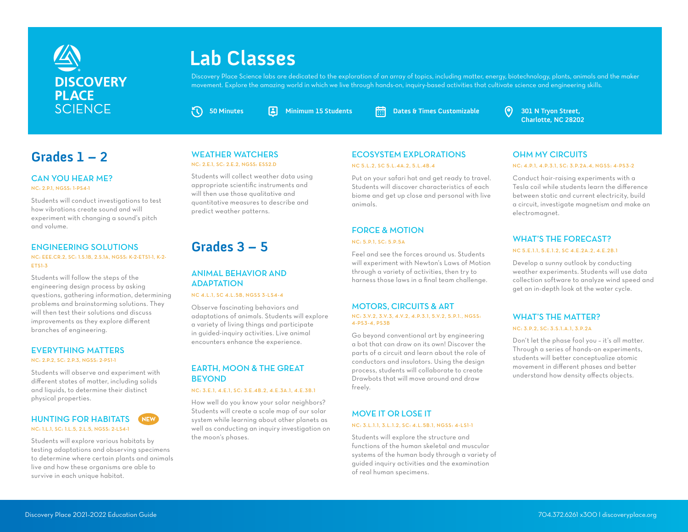

# **Lab Classes**

Discovery Place Science labs are dedicated to the exploration of an array of topics, including matter, energy, biotechnology, plants, animals and the maker movement. Explore the amazing world in which we live through hands-on, inquiry-based activities that cultivate science and engineering skills.

**50 Minutes Minimum 15 Students Dates & Times Customizable 301 N Tryon Street,**

**Charlotte, NC 28202**

#### CAN YOU HEAR ME?

NC: 2.P.1, NGSS: 1-PS4-1

Students will conduct investigations to test how vibrations create sound and will experiment with changing a sound's pitch and volume.

#### ENGINEERING SOLUTIONS

#### NC: EEE.CR.2, SC: 1.S.1B, 2.S.1A, NGSS: K-2-ETS1-1, K-2- ETS1-3

Students will follow the steps of the engineering design process by asking questions, gathering information, determining problems and brainstorming solutions. They will then test their solutions and discuss improvements as they explore different branches of engineering.

#### EVERYTHING MATTERS

NC: 2.P.2, SC: 2.P.3, NGSS: 2-PS1-1

Students will observe and experiment with different states of matter, including solids and liquids, to determine their distinct physical properties.

#### HUNTING FOR HABITATS NEW NC: 1.L.1, SC: 1.L.5, 2.L.5, NGSS: 2-LS4-1

Students will explore various habitats by testing adaptations and observing specimens to determine where certain plants and animals live and how these organisms are able to survive in each unique habitat.

#### WEATHER WATCHERS NC: 2.E.1, SC: 2.E.2, NGSS: ESS2.D

 $\sigma$ 

Students will collect weather data using appropriate scientific instruments and will then use those qualitative and quantitative measures to describe and predict weather patterns.

# **Grades 3 – 5**

#### ANIMAL BEHAVIOR AND **ADAPTATION**

#### NC 4.L.1, SC 4.L.5B, NGSS 3-LS4-4

Observe fascinating behaviors and adaptations of animals. Students will explore a variety of living things and participate in guided-inquiry activities. Live animal encounters enhance the experience.

#### EARTH, MOON & THE GREAT BEYOND

#### NC: 3.E.1, 4.E.1, SC: 3.E.4B.2, 4.E.3A.1, 4.E.3B.1

How well do you know your solar neighbors? Students will create a scale map of our solar system while learning about other planets as well as conducting an inquiry investigation on the moon's phases.

## Grades 1 – 2 WEATHER WATCHERS ECOSYSTEM EXPLORATIONS

#### NC 5.L.2, SC 5.L.4A.2, 5.L.4B.4

Put on your safari hat and get ready to travel. Students will discover characteristics of each biome and get up close and personal with live animals.

## FORCE & MOTION

NC: 5.P.1, SC: 5.P.5A

Feel and see the forces around us. Students will experiment with Newton's Laws of Motion through a variety of activities, then try to harness those laws in a final team challenge.

## MOTORS, CIRCUITS & ART

#### NC: 3.V.2, 3.V.3, 4.V.2, 4.P.3.1, 5.V.2, 5.P.1., NGSS: 4-PS3-4, PS3B

Go beyond conventional art by engineering a bot that can draw on its own! Discover the parts of a circuit and learn about the role of conductors and insulators. Using the design process, students will collaborate to create Drawbots that will move around and draw freely.

#### MOVE IT OR LOSE IT NC: 3.L.1.1, 3.L.1.2, SC: 4.L.5B.1, NGSS: 4-LS1-1

## Students will explore the structure and functions of the human skeletal and muscular

systems of the human body through a variety of guided inquiry activities and the examination of real human specimens.

#### OHM MY CIRCUITS

#### NC: 4.P.1, 4.P.3.1, SC: 3.P.2A.4, NGSS: 4-PS3-2

Conduct hair-raising experiments with a Tesla coil while students learn the difference between static and current electricity, build a circuit, investigate magnetism and make an electromagnet.

#### WHAT'S THE FORECAST? NC 5.E.1.1, 5.E.1.2, SC 4.E.2A.2, 4.E.2B.1

Develop a sunny outlook by conducting weather experiments. Students will use data collection software to analyze wind speed and get an in-depth look at the water cycle.

## WHAT'S THE MATTER?

NC: 3.P.2, SC: 3.S.1.A.1, 3.P.2A

Don't let the phase fool you – it's all matter. Through a series of hands-on experiments, students will better conceptualize atomic movement in different phases and better understand how density affects objects.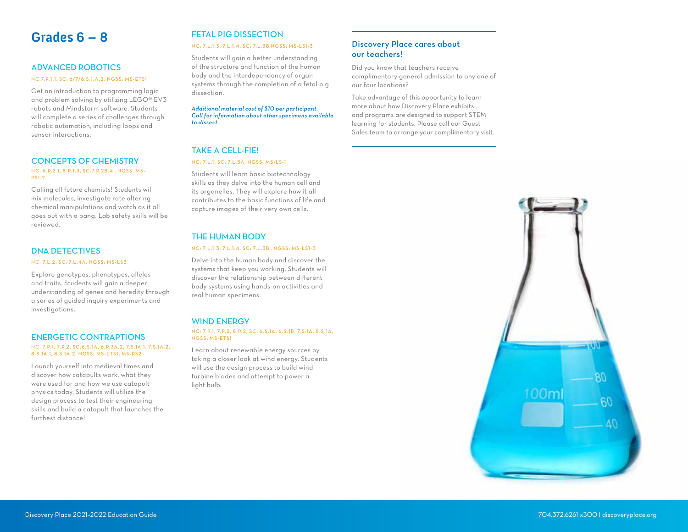## **Grades 6 – 8**

#### ADVANCED ROBOTICS

#### NC:7.P.1.1, SC: 6/7/8.S.1.A.2, NGSS: MS-ETS1

Get an introduction to programming logic and problem solving by utilizing LEGO® EV3 robots and Mindstorm software. Students will complete a series of challenges through robotic automation, including loops and sensor interactions.

#### CONCEPTS OF CHEMISTRY

#### NC: 6.P.2.1, 8.P.1.3, SC:7.P.2B.4 , NGSS: MS-PS1-2

Calling all future chemists! Students will mix molecules, investigate rate altering chemical manipulations and watch as it all goes out with a bang. Lab safety skills will be reviewed.

#### DNA DETECTIVES

#### NC: 7.L.2, SC: 7.L.4A, NGSS: MS-LS3

Explore genotypes, phenotypes, alleles and traits. Students will gain a deeper understanding of genes and heredity through a series of guided inquiry experiments and investigations.

#### ENERGETIC CONTRAPTIONS

#### NC: 7.P.1; 7.P.2, SC:6.S.1A, 6.P.3A.2, 7.S.1A.1, 7.S.1A.2, 8.S.1A.1, 8.S.1A.2, NGSS: MS-ETS1, MS-PS2

Launch yourself into medieval times and discover how catapults work, what they were used for and how we use catapult physics today. Students will utilize the design process to test their engineering skills and build a catapult that launches the furthest distance!

## FETAL PIG DISSECTION

#### NC: 7.L.1.3, 7.L.1.4, SC: 7.L.3B NGSS: MS-LS1-3

Students will gain a better understanding of the structure and function of the human body and the interdependency of organ systems through the completion of a fetal pig dissection.

*Additional material cost of \$10 per participant. Call for information about other specimens available to dissect.* 

#### TAKE A CELL-FIE!

#### NC: 7.L.1, SC: 7.L.3A, NGSS: MS-LS-1

Students will learn basic biotechnology skills as they delve into the human cell and its organelles. They will explore how it all contributes to the basic functions of life and capture images of their very own cells.

#### THE HUMAN BODY

#### NC: 7.L.1.3, 7.L.1.4, SC: 7.L.3B , NGSS: MS-LS1-3

Delve into the human body and discover the systems that keep you working. Students will discover the relationship between different body systems using hands-on activities and real human specimens.

#### WIND ENERGY

#### NC: 7.P.1, 7.P.2, 8.P.2, SC: 6.S.1A, 6.S.1B, 7.S.1A, 8.S.1A, NGSS: MS-ETS1

Learn about renewable energy sources by taking a closer look at wind energy. Students will use the design process to build wind turbine blades and attempt to power a light bulb.

#### Discovery Place cares about our teachers!

Did you know that teachers receive complimentary general admission to any one of our four locations?

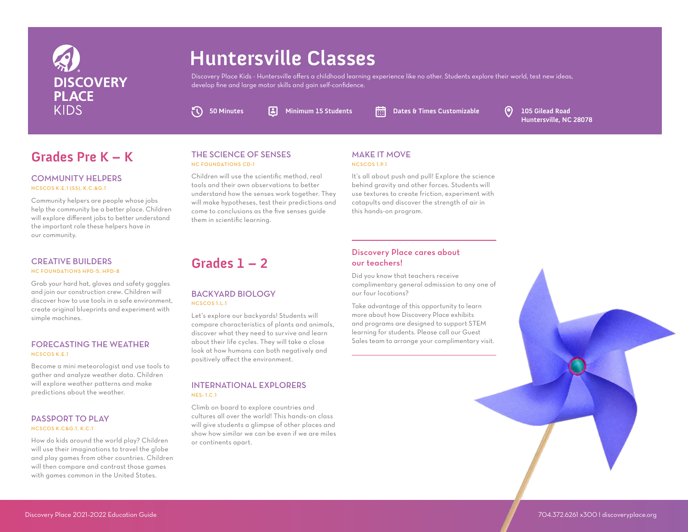

# **Huntersville Classes**

Discovery Place Kids - Huntersville offers a childhood learning experience like no other. Students explore their world, test new ideas, develop fine and large motor skills and gain self-confidence.

 $\Omega$ 

**50 Minutes Minimum 15 Students Dates & Times Customizable 105 Gilead Road** 

**Huntersville, NC 28078**

# **Grades Pre K – K** THE SCIENCE OF SENSES MAKE IT MOVE

#### COMMUNITY HELPERS NCSCOS K.E.1 (SS), K.C.&G.1

Community helpers are people whose jobs help the community be a better place. Children will explore different jobs to better understand the important role these helpers have in our community.

#### CREATIVE BUILDERS NC FOUNDATIONS HPD-5, HPD-8

Grab your hard hat, gloves and safety goggles and join our construction crew. Children will discover how to use tools in a safe environment, create original blueprints and experiment with simple machines.

#### FORECASTING THE WEATHER NCSCOS K.E.1

Become a mini meteorologist and use tools to gather and analyze weather data. Children will explore weather patterns and make predictions about the weather.

#### PASSPORT TO PLAY NCSCOS K.C&G.1, K.C.1

How do kids around the world play? Children will use their imaginations to travel the globe and play games from other countries. Children will then compare and contrast those games with games common in the United States.

#### THE SCIENCE OF SENSES NC FOUNDATIONS CD-1

**Grades 1 – 2**

BACKYARD BIOLOGY

Let's explore our backyards! Students will compare characteristics of plants and animals, discover what they need to survive and learn about their life cycles. They will take a close look at how humans can both negatively and

positively affect the environment.

INTERNATIONAL EXPLORERS

Climb on board to explore countries and cultures all over the world! This hands-on class will give students a glimpse of other places and show how similar we can be even if we are miles

NCSCOS 1.L.1

NES: 1.C.1

or continents apart.

Children will use the scientific method, real tools and their own observations to better understand how the senses work together. They will make hypotheses, test their predictions and come to conclusions as the five senses guide them in scientific learning.

# NCSCOS 1.P.1

It's all about push and pull! Explore the science behind gravity and other forces. Students will use textures to create friction, experiment with catapults and discover the strength of air in this hands-on program.

#### Discovery Place cares about our teachers!

Did you know that teachers receive complimentary general admission to any one of our four locations?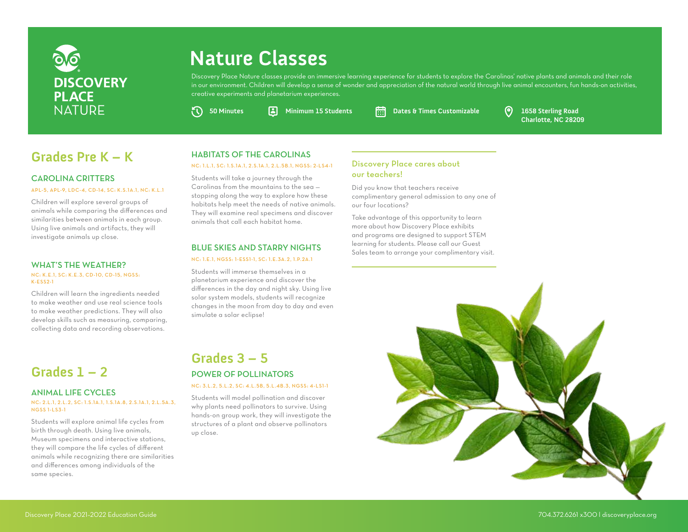

# **Nature Classes**

Discovery Place Nature classes provide an immersive learning experience for students to explore the Carolinas' native plants and animals and their role in our environment. Children will develop a sense of wonder and appreciation of the natural world through live animal encounters, fun hands-on activities, creative experiments and planetarium experiences.

**50 Minutes Minimum 15 Students Dates & Times Customizable 1658 Sterling Road**

**Charlotte, NC 28209**

# **Grades Pre K – K** HABITATS OF THE CAROLINAS<br>
NG: LL.L.SG: LS.1A.L.2.5.1A.L.2.L.5B.L.NGSS: 2-LS4-1 Discovery Place cares about

#### CAROLINA CRITTERS

#### APL-5, APL-9, LDC-4, CD-14, SC: K.S.1A.1, NC: K.L.1

Children will explore several groups of animals while comparing the differences and similarities between animals in each group. Using live animals and artifacts, they will investigate animals up close.

#### WHAT'S THE WEATHER?

#### NC: K.E.1, SC: K.E.3, CD-10, CD-15, NGSS: K-ESS2-1

Children will learn the ingredients needed to make weather and use real science tools to make weather predictions. They will also develop skills such as measuring, comparing, collecting data and recording observations.

## **Grades 1 – 2**

#### ANIMAL LIFE CYCLES

#### NC: 2.L.1, 2.L.2, SC: 1.S.1A.1, 1.S.1A.8, 2.S.1A.1, 2.L.5A.3, NGSS 1-LS3-1

Students will explore animal life cycles from birth through death. Using live animals, Museum specimens and interactive stations, they will compare the life cycles of different animals while recognizing there are similarities and differences among individuals of the same species.

#### HABITATS OF THE CAROLINAS

#### NC: 1.L.1, SC: 1.S.1A.1, 2.S.1A.1, 2.L.5B.1, NGSS: 2-LS4-1

Students will take a journey through the Carolinas from the mountains to the sea stopping along the way to explore how these habitats help meet the needs of native animals. They will examine real specimens and discover animals that call each habitat home.

#### BLUE SKIES AND STARRY NIGHTS

#### NC: 1.E.1, NGSS: 1-ESS1-1, SC: 1.E.3A.2, 1.P.2A.1

Students will immerse themselves in a planetarium experience and discover the differences in the day and night sky. Using live solar system models, students will recognize changes in the moon from day to day and even simulate a solar eclipse!

## **Grades 3 – 5** POWER OF POLLINATORS

#### NC: 3.L.2, 5.L.2, SC: 4.L.5B, 5.L.4B.3, NGSS: 4-LS1-1

Students will model pollination and discover why plants need pollinators to survive. Using hands-on group work, they will investigate the structures of a plant and observe pollinators up close.

# our teachers!

Did you know that teachers receive complimentary general admission to any one of our four locations?

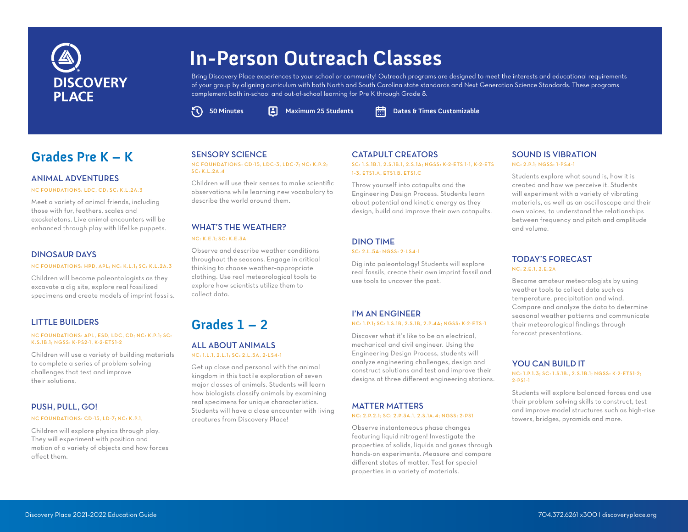

# **In-Person Outreach Classes**

Bring Discovery Place experiences to your school or community! Outreach programs are designed to meet the interests and educational requirements of your group by aligning curriculum with both North and South Carolina state standards and Next Generation Science Standards. These programs complement both in-school and out-of-school learning for Pre K through Grade 8.

**50 Minutes Maximum 25 Students Dates & Times Customizable**

## **Grades Pre K – K** SENSORY SCIENCE CATAPULT CREATORS

#### ANIMAL ADVENTURES

NC FOUNDATIONS: LDC, CD; SC: K.L.2A.3

Meet a variety of animal friends, including those with fur, feathers, scales and exoskeletons. Live animal encounters will be enhanced through play with lifelike puppets.

#### DINOSAUR DAYS

NC FOUNDATIONS: HPD, APL; NC: K.L.1; SC: K.L.2A.3

Children will become paleontologists as they excavate a dig site, explore real fossilized specimens and create models of imprint fossils.

#### LITTLE BUILDERS

#### NC FOUNDATIONS: APL, ESD, LDC, CD; NC: K.P.1; SC: K.S.1B.1; NGSS: K-PS2-1, K-2-ETS1-2

Children will use a variety of building materials to complete a series of problem-solving challenges that test and improve their solutions.

#### PUSH, PULL, GO!

#### NC FOUNDATIONS: CD-15, LD-7; NC: K.P.1,

Children will explore physics through play. They will experiment with position and motion of a variety of objects and how forces affect them.

#### SENSORY SCIENCE

 $\sigma$ 

NC FOUNDATIONS: CD-15, LDC-3, LDC-7; NC: K.P.2; SC: K.L.2A.4

Children will use their senses to make scientific observations while learning new vocabulary to describe the world around them.

#### WHAT'S THE WEATHER?

#### NC: K.E.1; SC: K.E.3A

Observe and describe weather conditions throughout the seasons. Engage in critical thinking to choose weather-appropriate clothing. Use real meteorological tools to explore how scientists utilize them to collect data.

## **Grades 1 – 2**

#### ALL ABOUT ANIMALS NC: 1.L.1, 2.L.1; SC: 2.L.5A, 2-LS4-1

Get up close and personal with the animal kingdom in this tactile exploration of seven major classes of animals. Students will learn how biologists classify animals by examining real specimens for unique characteristics. Students will have a close encounter with living creatures from Discovery Place!

#### SC: 1.S.1B.1, 2.S.1B.1, 2.S.1A; NGSS: K-2-ETS 1-1, K-2-ETS 1-3, ETS1.A, ETS1.B, ETS1.C

Throw yourself into catapults and the Engineering Design Process. Students learn about potential and kinetic energy as they design, build and improve their own catapults.

#### DINO TIME SC: 2.L.5A; NGSS: 2-LS4-1

Dig into paleontology! Students will explore real fossils, create their own imprint fossil and use tools to uncover the past.

#### I'M AN ENGINEER NC: 1.P.1; SC: 1.S.1B, 2.S.1B, 2.P.4A; NGSS: K-2-ETS-1

Discover what it's like to be an electrical, mechanical and civil engineer. Using the Engineering Design Process, students will analyze engineering challenges, design and construct solutions and test and improve their designs at three different engineering stations.

#### MATTER MATTERS

#### NC: 2.P.2.1; SC: 2.P.3A.1, 2.S.1A.4; NGSS: 2-PS1

Observe instantaneous phase changes featuring liquid nitrogen! Investigate the properties of solids, liquids and gases through hands-on experiments. Measure and compare different states of matter. Test for special properties in a variety of materials.

#### SOUND IS VIBRATION NC: 2.P.1; NGSS: 1-PS4-1

Students explore what sound is, how it is created and how we perceive it. Students will experiment with a variety of vibrating materials, as well as an oscilloscope and their own voices, to understand the relationships between frequency and pitch and amplitude and volume.

#### TODAY'S FORECAST NC: 2.E.1, 2.E.2A

Become amateur meteorologists by using weather tools to collect data such as temperature, precipitation and wind. Compare and analyze the data to determine seasonal weather patterns and communicate their meteorological findings through forecast presentations.

#### YOU CAN BUILD IT

NC: 1.P.1.3; SC: 1.S.1B., 2.S.1B.1; NGSS: K-2-ETS1-2; 2-PS1-1

Students will explore balanced forces and use their problem-solving skills to construct, test and improve model structures such as high-rise towers, bridges, pyramids and more.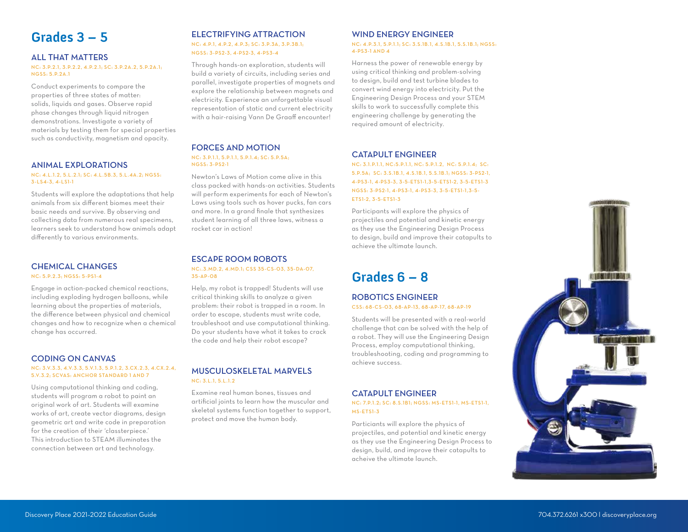## **Grades 3 – 5**

#### ALL THAT MATTERS

NC: 3.P.2.1, 3.P.2.2, 4.P.2.1; SC: 3.P.2A.2, 5.P.2A.1; NGSS: 5.P.2A.1

Conduct experiments to compare the properties of three states of matter: solids, liquids and gases. Observe rapid phase changes through liquid nitrogen demonstrations. Investigate a variety of materials by testing them for special properties such as conductivity, magnetism and opacity.

#### ANIMAL EXPLORATIONS

#### NC: 4.L.1.2, 5.L.2.1; SC: 4.L.5B.3, 5.L.4A.2; NGSS: 3-LS4-3, 4-LS1-1

Students will explore the adaptations that help animals from six different biomes meet their basic needs and survive. By observing and collecting data from numerous real specimens, learners seek to understand how animals adapt differently to various environments.

#### CHEMICAL CHANGES

#### NC: 5.P.2.3; NGSS: 5-PS1-4

Engage in action-packed chemical reactions, including exploding hydrogen balloons, while learning about the properties of materials, the difference between physical and chemical changes and how to recognize when a chemical change has occurred.

#### CODING ON CANVAS

#### NC: 3.V.3.3, 4.V.3.3, 5.V.1.3, 5.P.1.2, 3.CX.2.3, 4.CX.2.4, 5.V.3.2; SCVAS: ANCHOR STANDARD 1 AND 7

Using computational thinking and coding, students will program a robot to paint an original work of art. Students will examine works of art, create vector diagrams, design geometric art and write code in preparation for the creation of their 'classterpiece.' This introduction to STEAM illuminates the connection between art and technology.

#### ELECTRIFYING ATTRACTION

#### NC: 4.P.1, 4.P.2, 4.P.3; SC: 3.P.3A, 3.P.3B.1; NGSS: 3-PS2-3, 4-PS2-3, 4-PS3-4

Through hands-on exploration, students will build a variety of circuits, including series and parallel, investigate properties of magnets and explore the relationship between magnets and electricity. Experience an unforgettable visual representation of static and current electricity with a hair-raising Vann De Graaff encounter!

#### FORCES AND MOTION NC: 3.P.1.1, 5.P.1.1, 5.P.1.4; SC: 5.P.5A; NGSS: 3-PS2-1

Newton's Laws of Motion come alive in this class packed with hands-on activities. Students will perform experiments for each of Newton's Laws using tools such as hover pucks, fan cars and more. In a grand finale that synthesizes student learning of all three laws, witness a rocket car in action!

#### ESCAPE ROOM ROBOTS NC:.3.MD.2, 4.MD.1; CSS 35 -CS-03, 35 -DA-07, 35-AP-08

Help, my robot is trapped! Students will use critical thinking skills to analyze a given problem: their robot is trapped in a room. In order to escape, students must write code, troubleshoot and use computational thinking. Do your students have what it takes to crack the code and help their robot escape?

#### MUSCULOSKELETAL MARVELS  $NC: 3.1, 1.5.1, 1.2$

Examine real human bones, tissues and artificial joints to learn how the muscular and skeletal systems function together to support, protect and move the human body.

#### WIND ENERGY ENGINEER

#### NC: 4.P.3.1, 5.P.1.1; SC: 3.S.1B.1, 4.S.1B.1, 5.S.1B.1; NGSS: 4-PS3-1 AND 4

Harness the power of renewable energy by using critical thinking and problem-solving to design, build and test turbine blades to convert wind energy into electricity. Put the Engineering Design Process and your STEM skills to work to successfully complete this engineering challenge by generating the required amount of electricity.

#### CATAPULT ENGINEER

NC: 3.1.P.1.1, NC:5.P.1.1, NC: 5.P.1.2, NC: 5.P.1.4; SC: 5.P.5A; SC: 3.S.1B.1, 4.S.1B.1, 5.S.1B.1; NGSS: 3 -PS2-1, 4-PS3 -1, 4-PS3 -3, 3 -5 -ETS1-1,3 -5 -ETS1-2, 3 -5 -ETS1-3 NGSS: 3-PS2-1, 4-PS3-1, 4-PS3-3, 3-5-ETS1-1,3-5- ETS1-2, 3-5-ETS1-3

Participants will explore the physics of projectiles and potential and kinetic energy as they use the Engineering Design Process to design, build and improve their catapults to achieve the ultimate launch.

# **Grades 6 – 8**

#### ROBOTICS ENGINEER CSS: 68-CS-03, 68-AP-13, 68-AP-17, 68-AP-19

Students will be presented with a real-world challenge that can be solved with the help of a robot. They will use the Engineering Design Process, employ computational thinking, troubleshooting, coding and programming to achieve success.

#### CATAPULT ENGINEER

#### NC: 7.P.1.2; SC: 8.S.1B1; NGSS: MS-ETS1-1, MS-ETS1-1, MS-ETS1-3

Particiants will explore the physics of projectiles, and potential and kinetic energy as they use the Engineering Design Process to design, build, and improve their catapults to acheive the ultimate launch.

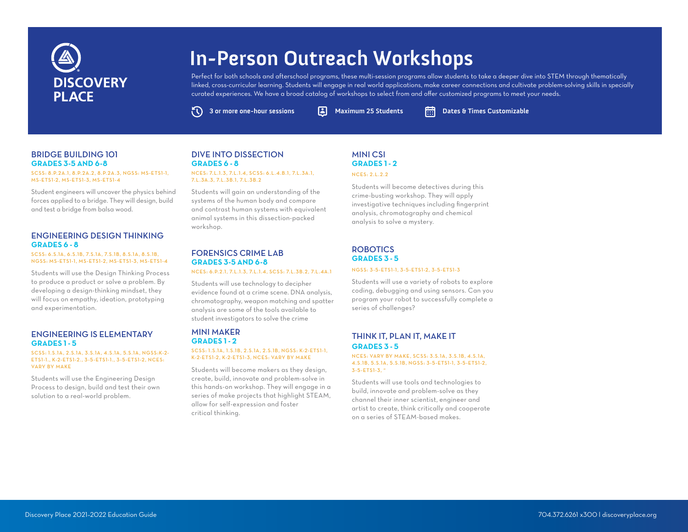# **DISCOVERY PI ACF**

# **In-Person Outreach Workshops**

Perfect for both schools and afterschool programs, these multi-session programs allow students to take a deeper dive into STEM through thematically linked, cross-curricular learning. Students will engage in real world applications, make career connections and cultivate problem-solving skills in specially curated experiences. We have a broad catalog of workshops to select from and offer customized programs to meet your needs.

ČV)

**3 or more one-hour sessions A** Maximum 25 Students **Dates & Times Customizable** 

#### BRIDGE BUILDING 101 **GRADES 3-5 AND 6-8**

SCSS: 8.P.2A.1, 8.P.2A.2, 8.P.2A.3, NGSS: MS-ETS1-1, MS-ETS1-2, MS-ETS1-3, MS-ETS1-4

Student engineers will uncover the physics behind forces applied to a bridge. They will design, build and test a bridge from balsa wood.

#### ENGINEERING DESIGN THINKING **GRADES 6 - 8**

SCSS: 6.S.1A, 6.S.1B, 7.S.1A, 7.S.1B, 8.S.1A, 8.S.1B, NGSS: MS-ETS1-1, MS-ETS1-2, MS-ETS1-3, MS-ETS1-4

Students will use the Design Thinking Process to produce a product or solve a problem. By developing a design-thinking mindset, they will focus on empathy, ideation, prototyping and experimentation.

#### ENGINEERING IS ELEMENTARY **GRADES 1 - 5**

#### SCSS: 1.S.1A, 2.S.1A, 3.S.1A, 4.S.1A, 5.S.1A, NGSS:K-2- ETS1-1., K-2-ETS1-2., 3 -5 -ETS1-1., 3 -5 -ETS1-2, NCES: VARY BY MAKE

Students will use the Engineering Design Process to design, build and test their own solution to a real-world problem.

#### DIVE INTO DISSECTION **GRADES 6 - 8** NCES: 7.L.1.3, 7.L.1.4, SCSS: 6.L.4, B.1, 7.L.3A.1,

7.L.3A.3, 7.L.3B.1, 7.L.3B.2

Students will gain an understanding of the systems of the human body and compare and contrast human systems with equivalent animal systems in this dissection-packed workshop.

#### FORENSICS CRIME LAB **GRADES 3-5 AND 6-8**

NCES: 6.P.2.1, 7.L.1.3, 7.L.1.4, SCSS: 7.L.3B.2, 7.L.4A.1

Students will use technology to decipher evidence found at a crime scene. DNA analysis, chromatography, weapon matching and spatter analysis are some of the tools available to student investigators to solve the crime

#### MINI MAKER **GRADES 1 - 2** SCSS: 1.S.1A, 1.S.1B, 2.S.1A, 2.S.1B, NGSS: K-2-ETS1-1, K-2-ETS1-2, K-2-ETS1-3, NCES: VARY BY MAKE

Students will become makers as they design, create, build, innovate and problem-solve in this hands-on workshop. They will engage in a series of make projects that highlight STEAM, allow for self-expression and foster critical thinking.

#### MINI CSI **GRADES 1 - 2**

#### NCES: 2.L.2.2

Students will become detectives during this crime-busting workshop. They will apply investigative techniques including fingerprint analysis, chromatography and chemical analysis to solve a mystery.

#### ROBOTICS **GRADES 3 - 5**

#### NGSS: 3-5-ETS1-1, 3-5-ETS1-2, 3-5-ETS1-3

Students will use a variety of robots to explore coding, debugging and using sensors. Can you program your robot to successfully complete a series of challenges?

#### THINK IT, PLAN IT, MAKE IT **GRADES 3 - 5**

#### NCES: VARY BY MAKE, SCSS: 3.S.1A, 3.S.1B, 4.S.1A, 4.S.1B, 5.S.1A, 5.S.1B, NGSS: 3 -5 -ETS1-1, 3 -5 -ETS1-2, 3-5-ETS1-3, "

Students will use tools and technologies to build, innovate and problem-solve as they channel their inner scientist, engineer and artist to create, think critically and cooperate on a series of STEAM-based makes.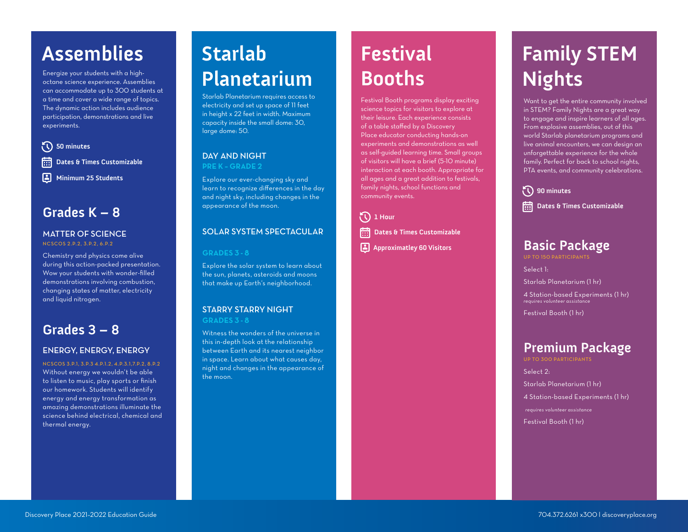# Assemblies Starlab

Energize your students with a highoctane science experience. Assemblies can accommodate up to 300 students at a time and cover a wide range of topics. The dynamic action includes audience participation, demonstrations and live experiments.



**Grades K – 8**

#### **MATTER OF SCIENCE**

NCSCOS 2.P.2, 3.P.2, 6.P.2

Chemistry and physics come alive during this action-packed presentation. Wow your students with wonder-filled demonstrations involving combustion, changing states of matter, electricity and liquid nitrogen.

## **Grades 3 – 8**

#### ENERGY, ENERGY, ENERGY

NCSCOS 3.P.1, 3.P.3 4.P.1.2, 4.P.3.1,7.P.2, 8.P.2 Without energy we wouldn't be able to listen to music, play sports or finish our homework. Students will identify energy and energy transformation as amazing demonstrations illuminate the science behind electrical, chemical and thermal energy.

# **Planetarium**

Starlab Planetarium requires access to electricity and set up space of 11 feet in height x 22 feet in width. Maximum capacity inside the small dome: 30, large dome: 50.

#### DAY AND NIGHT **PRE K – GRADE 2**

Explore our ever-changing sky and learn to recognize differences in the day and night sky, including changes in the appearance of the moon.

#### SOLAR SYSTEM SPECTACULAR

#### **GRADES 3 - 8**

Explore the solar system to learn about the sun, planets, asteroids and moons that make up Earth's neighborhood.

#### STARRY STARRY NIGHT **GRADES 3 - 8**

Witness the wonders of the universe in this in-depth look at the relationship between Earth and its nearest neighbor in space. Learn about what causes day, night and changes in the appearance of the moon.

# **Festival Booths**

Festival Booth programs display exciting science topics for visitors to explore at their leisure. Each experience consists of a table staffed by a Discovery Place educator conducting hands-on experiments and demonstrations as well as self-guided learning time. Small groups of visitors will have a brief (5-10 minute) interaction at each booth. Appropriate for all ages and a great addition to festivals, family nights, school functions and community events.

FC **1 Hour** 扁 **Dates & Times Customizable Approximatley 60 Visitors**

# **Family STEM Nights**

Want to get the entire community involved in STEM? Family Nights are a great way to engage and inspire learners of all ages. From explosive assemblies, out of this world Starlab planetarium programs and live animal encounters, we can design an unforgettable experience for the whole family. Perfect for back to school nights, PTA events, and community celebrations.

**90 minutes Dates & Times Customizable** 

# **Basic Package**

UP TO 150 PARTICIPANTS

Select 1: Starlab Planetarium (1 hr)

4 Station-based Experiments (1 hr) *requires volunteer assistance*

Festival Booth (1 hr)

## **Premium Package**

UP TO 300 PARTICIPANTS

Select 2: Starlab Planetarium (1 hr) 4 Station-based Experiments (1 hr) *requires volunteer assistance* Festival Booth (1 hr)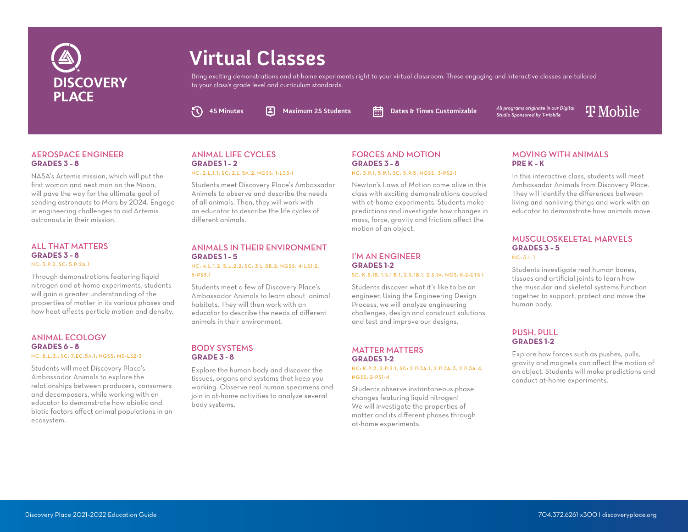

# **Virtual Classes**

Bring exciting demonstrations and at-home experiments right to your virtual classroom. These engaging and interactive classes are tailored to your class's grade level and curriculum standards.

 $\sigma$ 

**45 Minutes Maximum 25 Students Dates & Times Customizable**

*All programs originate in our Digital Studio Sponsored by T-Mobile*

# **T** Mobile

#### AEROSPACE ENGINEER **GRADES 3 – 8**

NASA's Artemis mission, which will put the first woman and next man on the Moon, will pave the way for the ultimate goal of sending astronauts to Mars by 2024. Engage in engineering challenges to aid Artemis astronauts in their mission.

#### ALL THAT MATTERS **GRADES 3 – 8**

NC: 3.P.2, SC: 5.P.2A.1

Through demonstrations featuring liquid nitrogen and at-home experiments, students will gain a greater understanding of the properties of matter in its various phases and how heat affects particle motion and density.

#### ANIMAL ECOLOGY **GRADES 6 – 8**

#### NC: 8.L.3.; SC: 7.EC.5A.1; NGSS: MS-LS2-3

Students will meet Discovery Place's Ambassador Animals to explore the relationships between producers, consumers and decomposers, while working with an educator to demonstrate how abiotic and biotic factors affect animal populations in an ecosystem.

#### ANIMAL LIFE CYCLES **GRADES 1 – 2**

NC: 2.L.1.1; SC: 2.L.5A.2; NGSS: 1-LS3-1

Students meet Discovery Place's Ambassador Animals to observe and describe the needs of all animals. Then, they will work with an educator to describe the life cycles of different animals.

#### ANIMALS IN THEIR ENVIRONMENT **GRADES 1 – 5**

#### NC: 4.L.1.2, 5.L.2.2; SC: 3.L.5B.2; NGSS: 4-LS1-2, 5-PS3.1

Students meet a few of Discovery Place's Ambassador Animals to learn about animal habitats. They will then work with an educator to describe the needs of different animals in their environment.

#### BODY SYSTEMS **GRADE 3 - 8**

Explore the human body and discover the tissues, organs and systems that keep you working. Observe real human specimens and join in at-home activities to analyze several body systems.

#### FORCES AND MOTION **GRADES 3 – 8**

NC: 3.P.1, 5.P.1; SC: 5.P.5; NGSS: 3 -PS2-1

Newton's Laws of Motion come alive in this class with exciting demonstrations coupled with at-home experiments. Students make predictions and investigate how changes in mass, force, gravity and friction affect the motion of an object.

#### I'M AN ENGINEER **GRADES 1-2** SC: K.S.1B, 1.S.1 B.1, 2.S.1B.1, 2.S.1A; NGS: K-2-ETS 1

Students discover what it's like to be an engineer. Using the Engineering Design Process, we will analyze engineering challenges, design and construct solutions and test and improve our designs.

#### MATTER MATTERS **GRADES 1-2**

NC: K.P.2, 2.P.2.1, SC: 2.P.3A.1, 2.P.3A.3, 2.P.3A.4, NGSS: 2-PS1-4

Students observe instantaneous phase changes featuring liquid nitrogen! We will investigate the properties of matter and its different phases through at-home experiments.

#### MOVING WITH ANIMALS **PRE K – K**

In this interactive class, students will meet Ambassador Animals from Discovery Place. They will identify the differences between living and nonliving things and work with an educator to demonstrate how animals move.

#### MUSCULOSKELETAL MARVELS **GRADES 3 – 5**  $NC: 3.1.1$

Students investigate real human bones, tissues and artificial joints to learn how the muscular and skeletal systems function together to support, protect and move the human body.

#### PUSH, PULL **GRADES 1-2**

Explore how forces such as pushes, pulls, gravity and magnets can affect the motion of an object. Students will make predictions and conduct at-home experiments.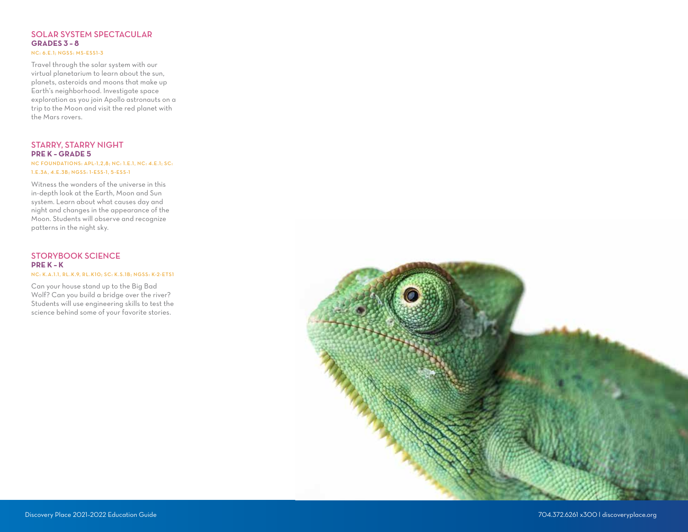#### SOLAR SYSTEM SPECTACULAR **GRADES 3 – 8** NC: 6.E.1; NGSS: MS-ESS1-3

Travel through the solar system with our virtual planetarium to learn about the sun, planets, asteroids and moons that make up Earth's neighborhood. Investigate space exploration as you join Apollo astronauts on a trip to the Moon and visit the red planet with the Mars rovers.

#### STARRY, STARRY NIGHT **PRE K – GRADE 5**

NC FOUNDATIONS: APL-1,2,8; NC: 1.E.1, NC: 4.E.1; SC: 1.E.3A, 4.E.3B; NGSS: 1-ESS-1, 5-ESS-1

Witness the wonders of the universe in this in-depth look at the Earth, Moon and Sun system. Learn about what causes day and night and changes in the appearance of the Moon. Students will observe and recognize patterns in the night sky.

#### STORYBOOK SCIENCE **PRE K – K** NC: K.A.1.1, RL.K.9, RL.K10; SC: K.S.1B; NGSS: K-2-ETS1

Can your house stand up to the Big Bad Wolf? Can you build a bridge over the river? Students will use engineering skills to test the science behind some of your favorite stories.

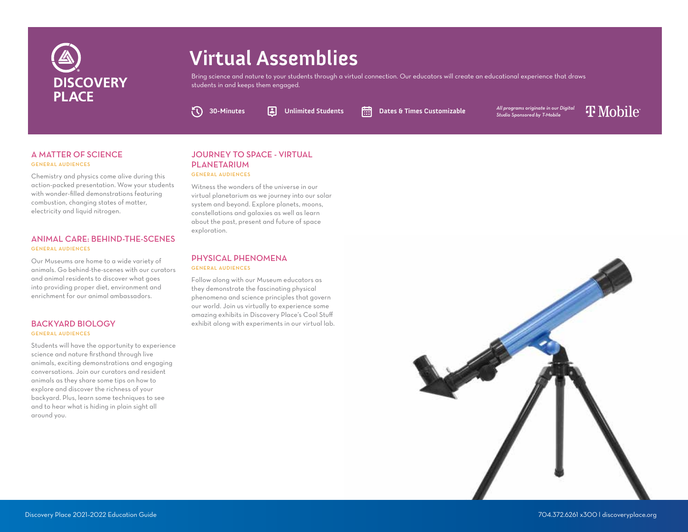

# **Virtual Assemblies**

Bring science and nature to your students through a virtual connection. Our educators will create an educational experience that draws students in and keeps them engaged.

**30-Minutes Unlimited Students Dates & Times Customizable**

*All programs originate in our Digital Studio Sponsored by T-Mobile*

**T** Mobile

#### A MATTER OF SCIENCE GENERAL AUDIENCES

Chemistry and physics come alive during this action-packed presentation. Wow your students with wonder-filled demonstrations featuring combustion, changing states of matter, electricity and liquid nitrogen.

#### ANIMAL CARE: BEHIND-THE-SCENES GENERAL AUDIENCES

Our Museums are home to a wide variety of animals. Go behind-the-scenes with our curators and animal residents to discover what goes into providing proper diet, environment and enrichment for our animal ambassadors.

#### BACKYARD BIOLOGY GENERAL AUDIENCES

Students will have the opportunity to experience science and nature firsthand through live animals, exciting demonstrations and engaging conversations. Join our curators and resident animals as they share some tips on how to explore and discover the richness of your backyard. Plus, learn some techniques to see and to hear what is hiding in plain sight all around you.

#### JOURNEY TO SPACE - VIRTUAL PLANETARIUM GENERAL AUDIENCES

 $\sigma$ 

Witness the wonders of the universe in our virtual planetarium as we journey into our solar system and beyond. Explore planets, moons, constellations and galaxies as well as learn about the past, present and future of space exploration.

#### PHYSICAL PHENOMENA GENERAL AUDIENCES

Follow along with our Museum educators as they demonstrate the fascinating physical phenomena and science principles that govern our world. Join us virtually to experience some amazing exhibits in Discovery Place's Cool Stuff exhibit along with experiments in our virtual lab.

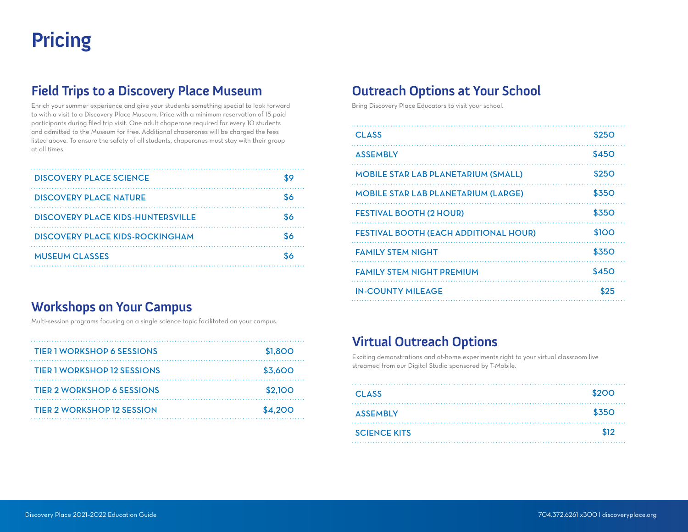# **Pricing**

## **Field Trips to a Discovery Place Museum**

Enrich your summer experience and give your students something special to look forward to with a visit to a Discovery Place Museum. Price with a minimum reservation of 15 paid participants during filed trip visit. One adult chaperone required for every 10 students and admitted to the Museum for free. Additional chaperones will be charged the fees listed above. To ensure the safety of all students, chaperones must stay with their group at all times.

| <b>DISCOVERY PLACE SCIENCE</b>    |    |
|-----------------------------------|----|
| <b>DISCOVERY PLACE NATURE</b>     |    |
| DISCOVERY PLACE KIDS-HUNTERSVILLE |    |
| DISCOVERY PLACE KIDS-ROCKINGHAM   | ፍራ |
| <b>MUSEUM CLASSES</b>             |    |
|                                   |    |

## **Workshops on Your Campus**

Multi-session programs focusing on a single science topic facilitated on your campus.

| <b>TIER 1 WORKSHOP 6 SESSIONS</b>  | \$1,800 |
|------------------------------------|---------|
| <b>TIER 1 WORKSHOP 12 SESSIONS</b> | \$3,600 |
| <b>TIER 2 WORKSHOP 6 SESSIONS</b>  | \$2,100 |
| <b>TIER 2 WORKSHOP 12 SESSION</b>  | \$4,200 |

## **Outreach Options at Your School**

Bring Discovery Place Educators to visit your school.

| <b>CLASS</b>                                 | <b>\$250</b> |
|----------------------------------------------|--------------|
| <b>ASSEMBLY</b>                              | \$450        |
| <b>MOBILE STAR LAB PLANETARIUM (SMALL)</b>   | \$250        |
| <b>MOBILE STAR LAB PLANETARIUM (LARGE)</b>   | <b>\$350</b> |
| <b>FESTIVAL BOOTH (2 HOUR)</b>               | <b>\$350</b> |
| <b>FESTIVAL BOOTH (EACH ADDITIONAL HOUR)</b> | \$100        |
| <b>FAMILY STEM NIGHT</b>                     | <b>\$350</b> |
| <b>FAMILY STEM NIGHT PREMIUM</b>             | \$450        |
| <b>IN-COUNTY MILEAGE</b>                     | \$25         |
|                                              |              |

# **Virtual Outreach Options**

Exciting demonstrations and at-home experiments right to your virtual classroom live streamed from our Digital Studio sponsored by T-Mobile.

| <b>CLASS</b>        | \$200 |
|---------------------|-------|
| <b>ASSEMBLY</b>     | \$350 |
| <b>SCIENCE KITS</b> | \$12  |